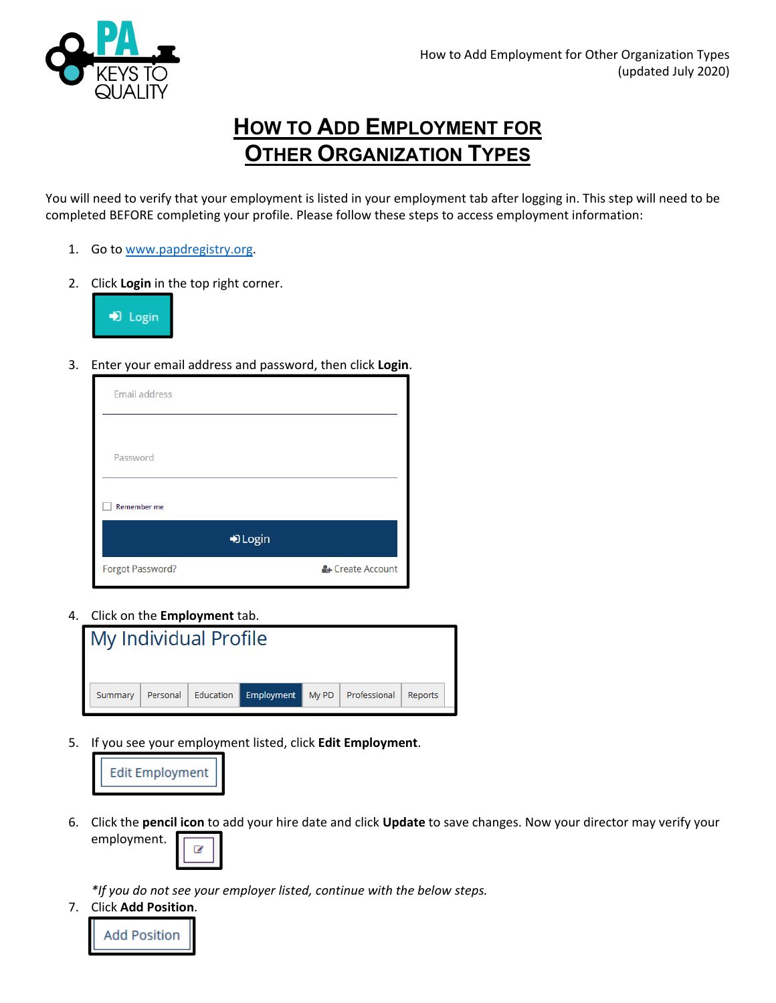

## **HOW TO ADD EMPLOYMENT FOR OTHER ORGANIZATION TYPES**

You will need to verify that your employment is listed in your employment tab after logging in. This step will need to be completed BEFORE completing your profile. Please follow these steps to access employment information:

- 1. Go to www.papdregistry.org.
- 2. Click **Login** in the top right corner.



3. Enter your email address and password, then click **Login**.

| Email address      |                  |
|--------------------|------------------|
|                    |                  |
| Password           |                  |
| <b>Remember me</b> |                  |
|                    | D Login          |
| Forgot Password?   | & Create Account |

4. Click on the **Employment** tab.

|         | My Individual Profile |                               |                      |         |
|---------|-----------------------|-------------------------------|----------------------|---------|
|         |                       |                               |                      |         |
| Summary |                       | Personal Education Employment | My PD   Professional | Reports |

5. If you see your employment listed, click **Edit Employment**.



6. Click the **pencil icon** to add your hire date and click **Update** to save changes. Now your director may verify your employment.  $\overline{\mathscr{L}}$ 

*\*If you do not see your employer listed, continue with the below steps.*

7. Click **Add Position**.

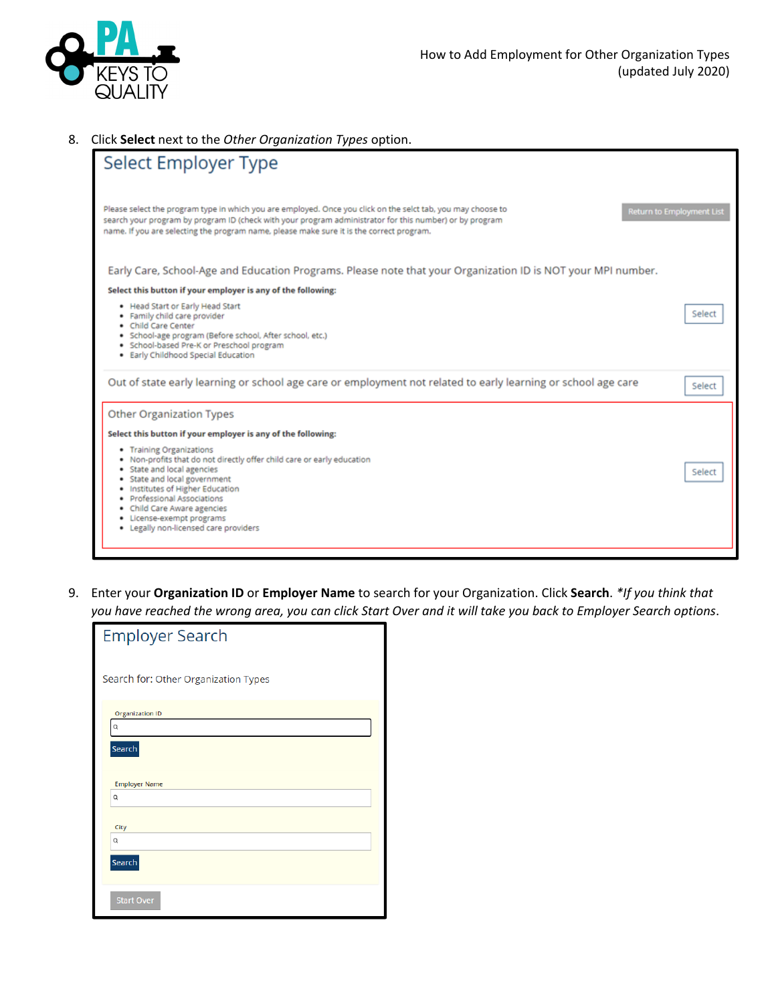

## 8. Click **Select** next to the *Other Organization Types* option.

| Select Employer Type                                                                                                                                                                                                                                                                                                                                    |        |
|---------------------------------------------------------------------------------------------------------------------------------------------------------------------------------------------------------------------------------------------------------------------------------------------------------------------------------------------------------|--------|
| Please select the program type in which you are employed. Once you click on the selct tab, you may choose to<br><b>Return to Employment List</b><br>search your program by program ID (check with your program administrator for this number) or by program<br>name. If you are selecting the program name, please make sure it is the correct program. |        |
| Early Care, School-Age and Education Programs. Please note that your Organization ID is NOT your MPI number.                                                                                                                                                                                                                                            |        |
| Select this button if your employer is any of the following:                                                                                                                                                                                                                                                                                            |        |
| • Head Start or Early Head Start<br>· Family child care provider<br>• Child Care Center<br>· School-age program (Before school, After school, etc.)<br>· School-based Pre-K or Preschool program<br>· Early Childhood Special Education                                                                                                                 | Select |
| Out of state early learning or school age care or employment not related to early learning or school age care                                                                                                                                                                                                                                           | Select |
| Other Organization Types                                                                                                                                                                                                                                                                                                                                |        |
| Select this button if your employer is any of the following:                                                                                                                                                                                                                                                                                            |        |
| • Training Organizations<br>. Non-profits that do not directly offer child care or early education<br>· State and local agencies<br>· State and local government<br>. Institutes of Higher Education<br>· Professional Associations<br>• Child Care Aware agencies<br>· License-exempt programs<br>. Legally non-licensed care providers                | Select |
|                                                                                                                                                                                                                                                                                                                                                         |        |

9. Enter your **Organization ID** or **Employer Name** to search for your Organization. Click **Search**. *\*If you think that* you have reached the wrong area, you can click Start Over and it will take you back to Employer Search options.

| <b>Employer Search</b>               |
|--------------------------------------|
| Search for: Other Organization Types |
| <b>Organization ID</b>               |
| Q                                    |
| Search                               |
|                                      |
| <b>Employer Name</b>                 |
| Q                                    |
|                                      |
| City                                 |
| Q                                    |
| Search                               |
| <b>Start Over</b>                    |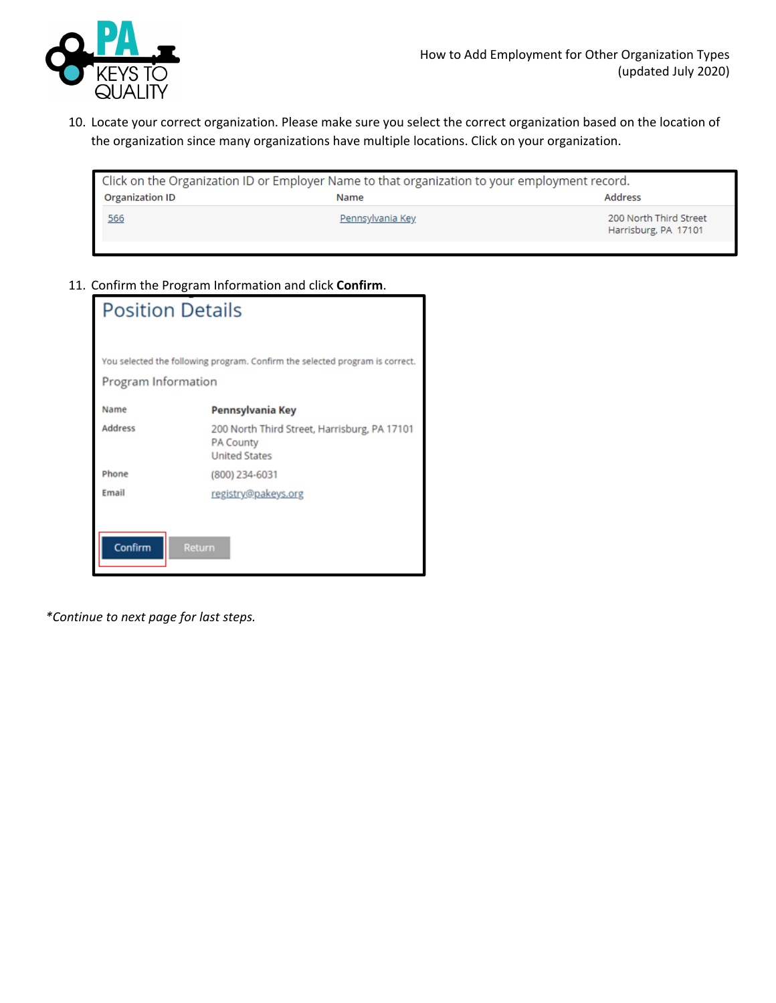

10. Locate your correct organization. Please make sure you select the correct organization based on the location of the organization since many organizations have multiple locations. Click on your organization.

|                        | Click on the Organization ID or Employer Name to that organization to your employment record. |                                                |
|------------------------|-----------------------------------------------------------------------------------------------|------------------------------------------------|
| <b>Organization ID</b> | Name                                                                                          | Address                                        |
| 566                    | Pennsylvania Key                                                                              | 200 North Third Street<br>Harrisburg, PA 17101 |

11. Confirm the Program Information and click **Confirm**.

| <b>Position Details</b>  |                                                                                          |
|--------------------------|------------------------------------------------------------------------------------------|
| Program Information      | You selected the following program. Confirm the selected program is correct.             |
| Name                     | Pennsylvania Key                                                                         |
| Address                  | 200 North Third Street, Harrisburg, PA 17101<br><b>PA County</b><br><b>United States</b> |
| Phone                    | (800) 234-6031                                                                           |
| Email                    | registry@pakeys.org                                                                      |
| Confirm<br><b>Return</b> |                                                                                          |

*\*Continue to next page for last steps.*